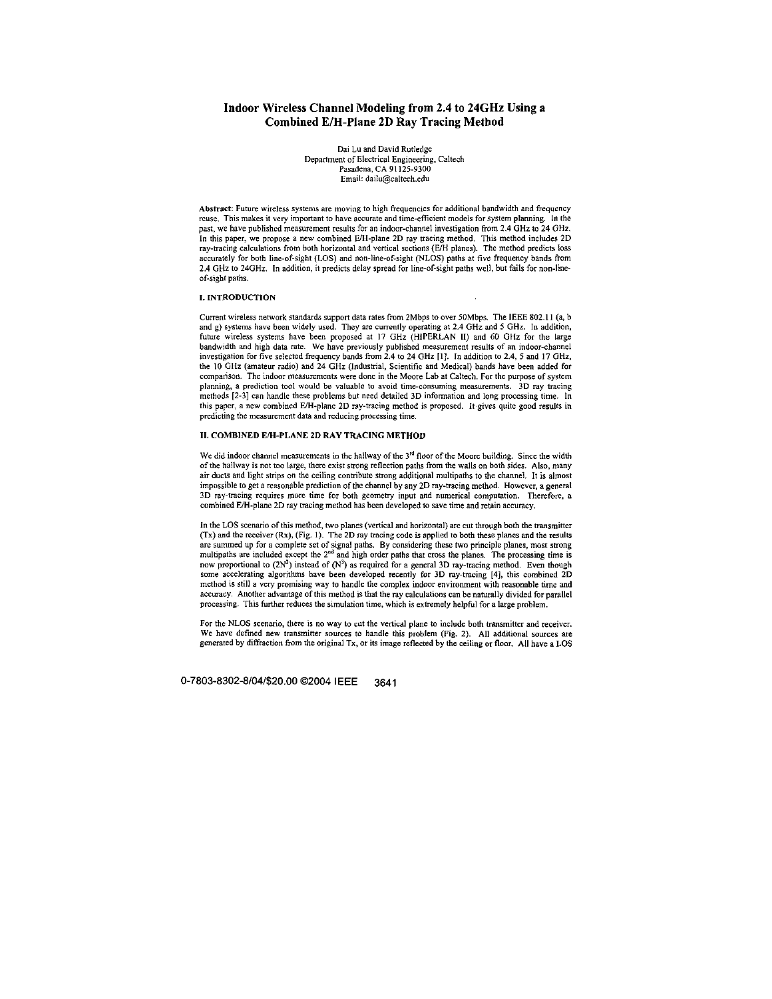# **Indoor Wireless Channel Modeling from 2.4 to 24GHz Using a Combined EIH-Plane 2D Ray Tracing Method**

**Dai** Lu and David Rurledge Depament **of** Electrical Engineering, Caltech Pasadena, CA 91 125-9300 Email: [dailu@caltech.edu](mailto:dailu@caltech.edu) 

Abstract: **Fufure** wireless systems are moving to high **frequencies** for additional bandwidth and frequcncy reuse. This makes it very important to have accurate and time-efficient models for system planning. In the past, we have published measurement results for an indoor-channel investigation from 2.4 GHz to 24 GHz. **In** this paper, we propose **a new** combined **E/€-plane** 2D ray tracing method. This method includes 2D ray-tracing calculations from both horizontal and vertical sections (E/H planes). The method predicts loss accurately for both line-of-sight (LOS) and non-line-of-sight (NLOS) paths at five frequency bands from **2.4 GHz** to **24GHr.** In addition, it predicts delay spread for line-of-sight paths **well,** but fails for **non-line**of-sight paths.

#### **1.** INTRODUCTION

Current wireless network standards support data rates from 2Mbps to over 50Mbps. The IEEE 802.11 (a, b and g) syrfems have been widely used. They are currently operating *8:* 2.4 **GHz** and **5 GHz.** In addition, future wireless systems have been proposed at 17 GHz (HIPERLAN II) and 60 GHz for the large bandwidth and high data rate. **We** have previously published measurement result^ of **an** indoor-channel investigation for five selected frequency bands from 2.4 to 24 GHz [1]. In addition to 2.4, 5 and 17 GHz, the 10 GHz (amateur radio) and 24 GHz (Industrial, Scientific and Medical) bands have been added for comparison. The indoor measurements were **done** in the **Moore** Lab at Calteeh. For the purpose af system planning, **a** prediction tool would be valuable to avoid time-consuming **measurements.** 3D ray tracing methods **[2-31 can** handle these problems but need detailed 3D information and long processing time. In this paper, a new combined E/H-plane 2D ray-tracing method is proposed. It gives quite good results in predicting the measurement data and reducing processing time.

### **11.** COMBINE0 EM-PLANE ZD **RAY** TRACING METHOD

We did indoor channel measurements in the hallway of the 3<sup>rd</sup> floor of the Moore building. Since the width of the hallway is not too large, there exist strong reflection paths from the walls on both sides. Also, many air ducts and light strips on the ceiling contribute strong additional multipaths to the channel. It is almost impossible to get a reasonable prediction of the channel by any **2D** ray-tracing method. However, a general **3D** ray-wcing requires more time for both **geometry** input and numerical computation. Therefore, **a**  combined EJH-plane **2D** ray tracing method has been developed to **save** time and retain accuracy.

In the LOS scenario of this method, two planes (vertical and horizontal) are cut through both the transmitter **(Tx)** and the receiver **(h),** (Fig. I). The 2D ray tracing **code** is applied **to** both these planer and the **rsults**  are summed up for a complete set of signal paths. By considering these two principle planes, most strong<br>multipaths are included except the 2<sup>nd</sup> and high order paths that cross the planes. The processing time is now proportional to  $(2N^2)$  instead of  $(N^3)$  as required for a general 3D ray-tracing method. Even though **some** accelerating algorithms have been developed recently for 3D ray-tracing [4], this combined **2D**  method **is** still a **very** promising way *10* handle the **complex** indoor environment with reasonable time and accuracy. Another advantage of this method is that the ray calculations can be naturally divided for parallel processing. This further reduces the simulation time, which is extremely helpful for a large problem.

For the NLOS scenario, there is no way to cut the vertical plane to include both transmitter and receiver. We have defined new transmitter sources to handle this problem (Fig. 2). All additional sources are generated by diffraction from the original Tx, or its image reflected by the ceiling or floor. All have a LOS

**0-7803-8302-8/04/\$20.00 02004** IEEE **3641**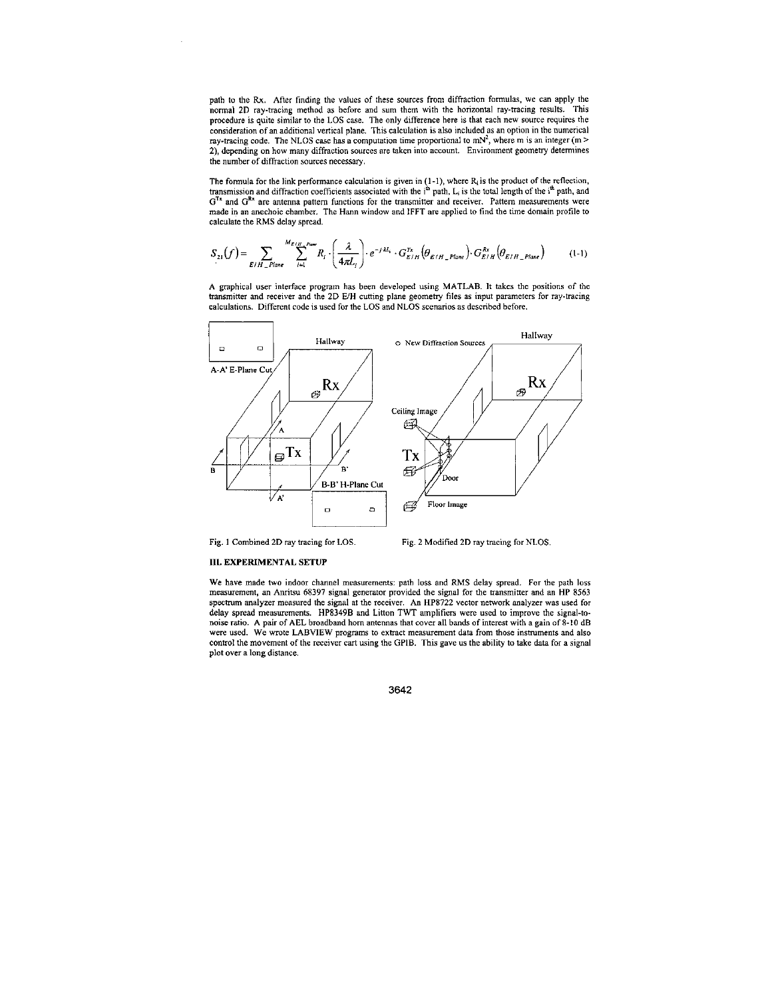path **to** the **Rx. After** finding the value^ of these **sources** from diffraction formulas, **we can** apply the normal 2D ray-tracing method **as** hefore and **sum** them with the horizontal ray-tracing results. This **procedure** is quite similar to the LOS **case.** The only difference here is that each **new murce** requires the consideration of an additional vertical plane. This **calculation** is **also** included **as** an option in the numerical ray-tracing code. The NLOS case has a computation time proportional to  $m^2$ , where m is an integer  $(m > n)$ 2), depending on how many diffraction sources are taken into account. Environment geometry determines the **number** of diffraction sources **necessary.** 

The formula for the link performance calculation is given in (1-1), where R<sub>i</sub> is the product of the reflection,<br>transmission and diffraction coefficients associated with the i<sup>th</sup> path, L<sub>i</sub> is the total length of the i<sup>t</sup>  $G^{Tx}$  and  $G^{Rx}$  are antenna pattern functions for the transmitter and receiver. Pattern measurements were made in an anechoic chamber. The Hann window and IFFT are applied to find the time domain profile **to**  calculate the **RMS** delay spread.

$$
S_{21}(f) = \sum_{E/H \_quad \text{Plane}} \sum_{i=1}^{M_{E/H} \_ \text{Power}} R_i \cdot \left(\frac{\lambda}{4\pi L_i}\right) \cdot e^{-j \cdot kl_i} \cdot G_{E/H}^{\text{Tx}}\left(\theta_{E/H \_ \text{Plane}}\right) \cdot G_{E/H}^{\text{Rx}}\left(\theta_{E/H \_ \text{Plane}}\right) \tag{1-1}
$$

**A** graphical **user** interface **program** har been developed using **MATLAB.** It takes the positions of the transminer and **receiver** and the **2D EIH** cutting **plane geometry files as** input parameten for ray-tracing calculations. Different code is used for the LOS and **NLOS scenarios as** described before.



Fig. 1 Combined **2D** ray tracing for LOS.

Fig. 2 Modified **ZD** ray tracing for NLOS.

### **111.** EXPERIMENTAL **SETUP**

We have made two indoor channel measurements: path loss and RMS delay spread. For the path loss **measurement,** an **An"tsu 68197 signal generator** provided the signal for the transmitter and **an HP 8561 specmm** analyzer measured **the** signal at the receiver. **An HP8722 vector** network analyzer **was** used for delay spread **measurements. HP8149B** and Linon **TWT** amplifiers **were** used **to** improve the signal-tonoise ratio. **A** pair of **AEL** broadband hom **antennas** that **cover** all bands of interest with a gain of **8-10** dB were used. We wrote LABVIEW programs to extract measurement data from those instruments and also **control** the movement of the receiver *cart* using the GPIB. This gave **us** the ability **to** take **data** for **a** signal plot **over a long** distance.

**3642**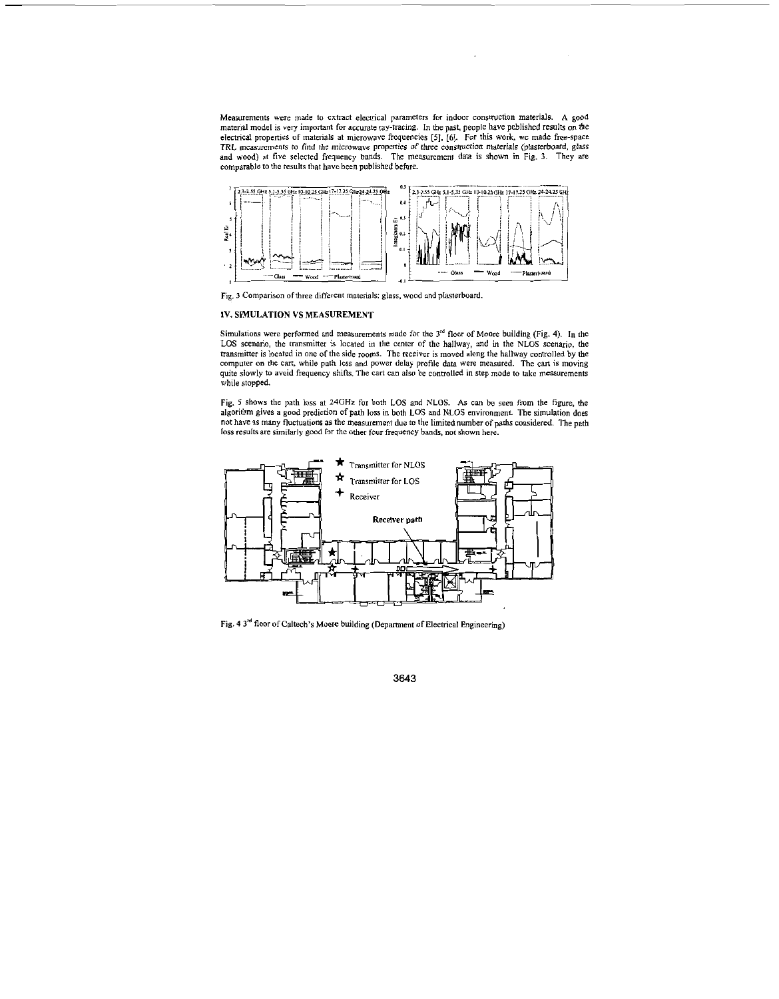Measurements **were** made to extract electrical parameten for indoor construction materials. A goad material model is very important for accurate ray-tracing. In the past, people have published results on the **electtical** properties of materials at microwave frequencies *[5], [6].* For this **work, we** made free-space TRL **measuremenrs** to find **the microwave pmpetries** of three conrmction materials (plaiterboard, glass and wood) at **five** selected frequency bands. The measurement data **is shown** in Fig. **3.** They are comparable to the results that have been published before.



Fig. 3 Comparison of three different materials: glass, wood and plasterboard.

### *W.* **SIMULATION VS MEASUREMENT**

Simulafions **were** performed and measurements made for the 3" floor of **Moore** building (Fig. **4).** In the LOS scenario, the transminer **is** located in the center of the hallway, and in the NLOS **scenario,** the transminer **is** located in one of the side rooms. The receiver **is** moved along the hallway conuolled by the computer **on** the cart, while path **loss** and power delay profile data **were** measured. The **cas** is moving quite slowly to avoid frequency shifts. The cart can also be controlled in step mode to take measurements while stopped.

Fig. 5 shows the path loss at 24GHz for both LOS and NLOS. As can be seen from the figure, the algorithm gives **a** good prediction of path **1055** in both LOS and NLOS environment. The simulation does not have **ai** many fluctuations **as** the **measurement** due to the limited number of paths considered. **The** path loss results are similarly good for the other four frequency bands, not shown here.



Fig. 4 3<sup>rd</sup> floor of Caltech's Moore building (Department of Electrical Engineering)

**3643**